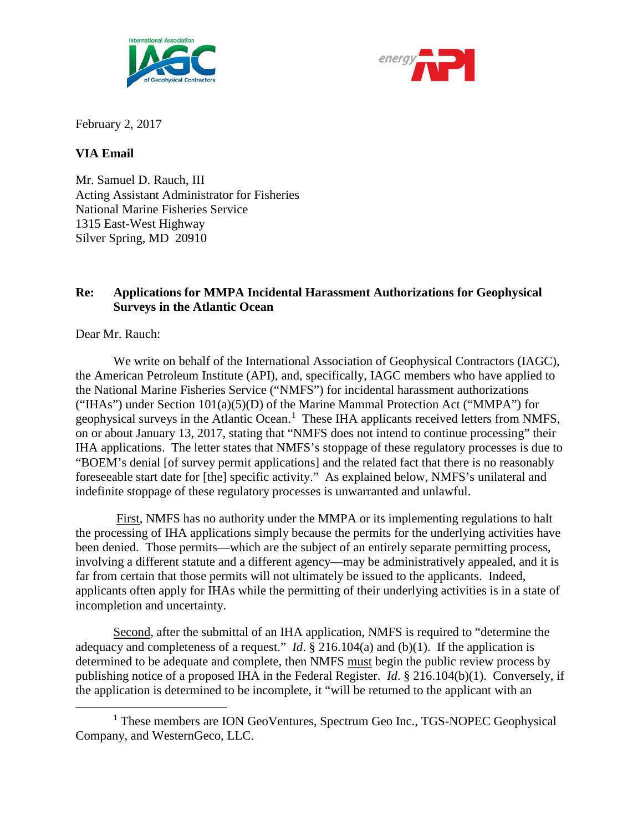



February 2, 2017

## **VIA Email**

Mr. Samuel D. Rauch, III Acting Assistant Administrator for Fisheries National Marine Fisheries Service 1315 East-West Highway Silver Spring, MD 20910

## **Re: Applications for MMPA Incidental Harassment Authorizations for Geophysical Surveys in the Atlantic Ocean**

Dear Mr. Rauch:

We write on behalf of the International Association of Geophysical Contractors (IAGC), the American Petroleum Institute (API), and, specifically, IAGC members who have applied to the National Marine Fisheries Service ("NMFS") for incidental harassment authorizations ("IHAs") under Section 101(a)(5)(D) of the Marine Mammal Protection Act ("MMPA") for geophysical surveys in the Atlantic Ocean.<sup>[1](#page-0-0)</sup> These IHA applicants received letters from NMFS, on or about January 13, 2017, stating that "NMFS does not intend to continue processing" their IHA applications. The letter states that NMFS's stoppage of these regulatory processes is due to "BOEM's denial [of survey permit applications] and the related fact that there is no reasonably foreseeable start date for [the] specific activity." As explained below, NMFS's unilateral and indefinite stoppage of these regulatory processes is unwarranted and unlawful.

First, NMFS has no authority under the MMPA or its implementing regulations to halt the processing of IHA applications simply because the permits for the underlying activities have been denied. Those permits—which are the subject of an entirely separate permitting process, involving a different statute and a different agency—may be administratively appealed, and it is far from certain that those permits will not ultimately be issued to the applicants. Indeed, applicants often apply for IHAs while the permitting of their underlying activities is in a state of incompletion and uncertainty.

Second, after the submittal of an IHA application, NMFS is required to "determine the adequacy and completeness of a request." *Id.*  $\S$  216.104(a) and (b)(1). If the application is determined to be adequate and complete, then NMFS must begin the public review process by publishing notice of a proposed IHA in the Federal Register. *Id*. § 216.104(b)(1). Conversely, if the application is determined to be incomplete, it "will be returned to the applicant with an

<span id="page-0-0"></span><sup>&</sup>lt;sup>1</sup> These members are ION GeoVentures, Spectrum Geo Inc., TGS-NOPEC Geophysical Company, and WesternGeco, LLC.